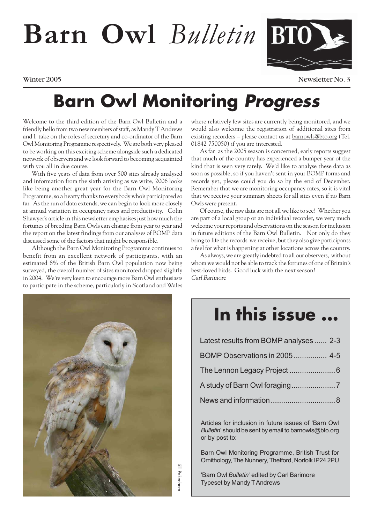# **Barn Owl** *Bulletin*



Winter 2005 Newsletter No. 3

### **Barn Owl Monitoring Progress**

Welcome to the third edition of the Barn Owl Bulletin and a friendly hello from two new members of staff, as Mandy T Andrews and I take on the roles of secretary and co-ordinator of the Barn Owl Monitoring Programme respectively. We are both very pleased to be working on this exciting scheme alongside such a dedicated network of observers and we look forward to becoming acquainted with you all in due course.

With five years of data from over 500 sites already analysed and information from the sixth arriving as we write, 2006 looks like being another great year for the Barn Owl Monitoring Programme, so a hearty thanks to everybody who's participated so far. As the run of data extends, we can begin to look more closely at annual variation in occupancy rates and productivity. Colin Shawyer's article in this newsletter emphasises just how much the fortunes of breeding Barn Owls can change from year to year and the report on the latest findings from our analyses of BOMP data discussed some of the factors that might be responsible.

Although the Barn Owl Monitoring Programme continues to benefit from an excellent network of participants, with an estimated 8% of the British Barn Owl population now being surveyed, the overall number of sites monitored dropped slightly in 2004. We're very keen to encourage more Barn Owl enthusiasts to participate in the scheme, particularly in Scotland and Wales

where relatively few sites are currently being monitored, and we would also welcome the registration of additional sites from existing recorders – please contact us at barnowls@bto.org (Tel. 01842 750050) if you are interested.

As far as the 2005 season is concerned, early reports suggest that much of the country has experienced a bumper year of the kind that is seen very rarely. We'd like to analyse these data as soon as possible, so if you haven't sent in your BOMP forms and records yet, please could you do so by the end of December. Remember that we are monitoring occupancy rates, so it is vital that we receive your summary sheets for all sites even if no Barn Owls were present.

Of course, the raw data are not all we like to see! Whether you are part of a local group or an individual recorder, we very much welcome your reports and observations on the season for inclusion in future editions of the Barn Owl Bulletin. Not only do they bring to life the records we receive, but they also give participants a feel for what is happening at other locations across the country.

As always, we are greatly indebted to all our observers, without whom we would not be able to track the fortunes of one of Britain's best-loved birds. Good luck with the next season! Carl Barimore



### **In this issue ...**

| Latest results from BOMP analyses  2-3 |
|----------------------------------------|
|                                        |
|                                        |
|                                        |
|                                        |

Articles for inclusion in future issues of 'Barn Owl *Bulletin*' should be sent by email to barnowls@bto.org or by post to:

Barn Owl Monitoring Programme, British Trust for Ornithology, The Nunnery, Thetford, Norfolk IP24 2PU

'Barn Owl *Bulletin'* edited by Carl Barimore Typeset by Mandy T Andrews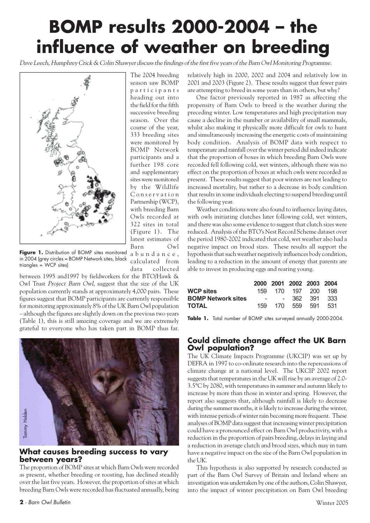## **BOMP results 2000-2004 – the influence of weather on breeding**

Dave Leech, Humphrey Crick & Colin Shawyer discuss the findings of the first five years of the Barn Owl Monitoring Programme.

the field for the fifth successive breeding season. Over the course of the year, 333 breeding sites were monitored by BOMP Network participants and a further 198 core and supplementary sites were monitored by the Wildlife Conservation Partnership (WCP), with breeding Barn Owls recorded at 322 sites in total (Figure 1). The latest estimates of Barn Owl

data collected



Figure 1. Distribution of BOMP sites monitored in 2004 (grey circles = BOMP Network sites, black triangles = WCP sites) abundance, calculated from

between 1995 and1997 by fieldworkers for the BTO/Hawk & Owl Trust Project Barn Owl, suggest that the size of the UK population currently stands at approximately 4,000 pairs. These figures suggest that BOMP participants are currently responsible for monitoring approximately 8% of the UK Barn Owl population – although the figures are slightly down on the previous two years (Table 1), this is still amazing coverage and we are extremely grateful to everyone who has taken part in BOMP thus far.



#### **What causes breeding success to vary between years?**

The proportion of BOMP sites at which Barn Owls were recorded as present, whether breeding or roosting, has declined steadily over the last five years. However, the proportion of sites at which breeding Barn Owls were recorded has fluctuated annually, being

One factor previously reported in 1987 as affecting the propensity of Barn Owls to breed is the weather during the preceding winter. Low temperatures and high precipitation may cause a decline in the number or availability of small mammals, whilst also making it physically more difficult for owls to hunt and simultaneously increasing the energetic costs of maintaining body condition. Analysis of BOMP data with respect to temperature and rainfall over the winter period did indeed indicate that the proportion of boxes in which breeding Barn Owls were recorded fell following cold, wet winters, although there was no effect on the proportion of boxes at which owls were recorded as present. These results suggest that poor winters are not leading to increased mortality, but rather to a decrease in body condition that results in some individuals electing to suspend breeding until the following year.

Weather conditions were also found to influence laying dates, with owls initiating clutches later following cold, wet winters, and there was also some evidence to suggest that clutch sizes were reduced. Analysis of the BTO's Nest Record Scheme dataset over the period 1980-2002 indicated that cold, wet weather also had a negative impact on brood sizes. These results all support the hypothesis that such weather negatively influences body condition, leading to a reduction in the amount of energy that parents are able to invest in producing eggs and rearing young.

|                           |  | 2000 2001 2002 2003 2004 |  |
|---------------------------|--|--------------------------|--|
| <b>WCP sites</b>          |  | 159 170 197 200 198      |  |
| <b>BOMP Network sites</b> |  | - - 362 391 333          |  |
| <b>TOTAL</b>              |  | 159 170 559 591 531      |  |

**Table 1.** Total number of BOMP sites surveyed annually 2000-2004.

#### **Could climate change affect the UK Barn Owl population?**

The UK Climate Impacts Programme (UKCIP) was set up by DEFRA in 1997 to co-ordinate research into the repercussions of climate change at a national level. The UKCIP 2002 report suggests that temperatures in the UK will rise by an average of 2.0- 3.5°C by 2080, with temperatures in summer and autumn likely to increase by more than those in winter and spring. However, the report also suggests that, although rainfall is likely to decrease during the summer months, it is likely to increase during the winter, with intense periods of winter rain becoming more frequent. These analyses of BOMP data suggest that increasing winter precipitation could have a pronounced effect on Barn Owl productivity, with a reduction in the proportion of pairs breeding, delays in laying and a reduction in average clutch and brood sizes, which may in turn have a negative impact on the size of the Barn Owl population in the UK.

This hypothesis is also supported by research conducted as part of the Barn Owl Survey of Britain and Ireland where an investigation was undertaken by one of the authors, Colin Shawyer, into the impact of winter precipitation on Barn Owl breeding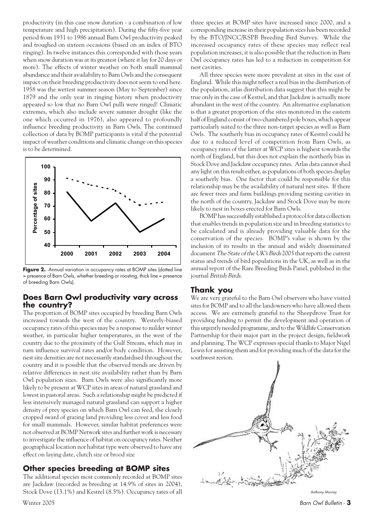productivity (in this case snow duration - a combination of low temperature and high precipitation). During the fifty-five year period from 1931 to 1986 annual Barn Owl productivity peaked and troughed on sixteen occasions (based on an index of BTO ringing). In twelve instances this corresponded with those years when snow duration was at its greatest (where it lay for 20 days or more). The effects of winter weather on both small mammal abundance and their availability to Barn Owls and the consequent impact on their breeding productivity does not seem to end here. 1958 was the wettest summer season (May to September) since 1879 and the only year in ringing history when productivity appeared so low that no Barn Owl pulli were ringed! Climatic extremes, which also include severe summer drought (like the one which occurred in 1976), also appeared to profoundly influence breeding productivity in Barn Owls. The continued collection of data by BOMP participants is vital if the potential impact of weather conditions and climatic change on this species is to be determined.



Figure 2. Annual variation in occupancy rates at BOMP sites (dotted line = presence of Barn Owls, whether breeding or roosting, thick line = presence of breeding Barn Owls).

#### **Does Barn Owl productivity vary across the country?**

The proportion of BOMP sites occupied by breeding Barn Owls increased towards the west of the country. Westerly-biased occupancy rates of this species may be a response to milder winter weather, in particular higher temperatures, in the west of the country due to the proximity of the Gulf Stream, which may in turn influence survival rates and/or body condition. However, nest site densities are not necessarily standardised throughout the country and it is possible that the observed trends are driven by relative differences in nest site availability rather than by Barn Owl population sizes. Barn Owls were also significantly more likely to be present at WCP sites in areas of natural grassland and lowest in pastoral areas. Such a relationship might be predicted if less intensively managed natural grassland can support a higher density of prey species on which Barn Owl can feed, the closely cropped sward of grazing land providing less cover and less food for small mammals. However, similar habitat preferences were not observed at BOMP Network sites and further work is necessary to investigate the influence of habitat on occupancy rates. Neither geographical location nor habitat type were observed to have any effect on laying date, clutch size or brood size

#### **Other species breeding at BOMP sites**

The additional species most commonly recorded at BOMP sites are Jackdaw (recorded as breeding at 14.9% of sites in 2004), Stock Dove (13.1%) and Kestrel (8.5%). Occupancy rates of all three species at BOMP sites have increased since 2000, and a corresponding increase in their population sizes has been recorded by the BTO/JNCC/RSPB Breeding Bird Survey. While the increased occupancy rates of these species may reflect real population increases, it is also possible that the reduction in Barn Owl occupancy rates has led to a reduction in competition for nest cavities.

All three species were more prevalent at sites in the east of England. While this might reflect a real bias in the distribution of the population, atlas distribution data suggest that this might be true only in the case of Kestrel, and that Jackdaw is actually more abundant in the west of the country. An alternative explanation is that a greater proportion of the sites monitored in the eastern half of England consist of two-chambered pole boxes, which appear particularly suited to the three non-target species as well as Barn Owls. The southerly bias in occupancy rates of Kestrel could be due to a reduced level of competition from Barn Owls, as occupancy rates of the latter at WCP sites is highest towards the north of England, but this does not explain the northerly bias in Stock Dove and Jackdaw occupancy rates. Atlas data cannot shed any light on this result either, as populations of both species display a southerly bias. One factor that could be responsible for this relationship may be the availability of natural nest sites. If there are fewer trees and farm buildings providing nesting cavities in the north of the country, Jackdaw and Stock Dove may be more likely to nest in boxes erected for Barn Owls.

BOMP has successfully established a protocol for data collection that enables trends in population size and in breeding statistics to be calculated and is already providing valuable data for the conservation of the species. BOMP's value is shown by the inclusion of its results in the annual and widely disseminated document The State of the UK's Birds 2003 that reports the current status and trends of bird populations in the UK, as well as in the annual report of the Rare Breeding Birds Panel, published in the journal British Birds.

#### **Thank you**

We are very grateful to the Barn Owl observers who have visited sites for BOMP and to all the landowners who have allowed them access. We are extremely grateful to the Sheepdrove Trust for providing funding to permit the development and operation of this urgently needed programme, and to the Wildlife Conservation Partnership for their major part in the project design, fieldwork and planning. The WCP expresses special thanks to Major Nigel Lewis for assisting them and for providing much of the data for the southwest region.



Anthony Murray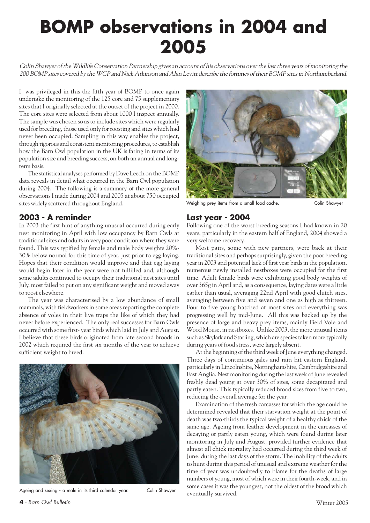# **BOMP observations in 2004 and 2005**

Colin Shawyer of the Wildlife Conservation Partnership gives an account of his observations over the last three years of monitoring the 200 BOMP sites covered by the WCP and Nick Atkinson and Alan Levitt describe the fortunes of their BOMP sites in Northumberland.

I was privileged in this the fifth year of BOMP to once again undertake the monitoring of the 125 core and 75 supplementary sites that I originally selected at the outset of the project in 2000. The core sites were selected from about 1000 I inspect annually. The sample was chosen so as to include sites which were regularly used for breeding, those used only for roosting and sites which had never been occupied. Sampling in this way enables the project, through rigorous and consistent monitoring procedures, to establish how the Barn Owl population in the UK is faring in terms of its population size and breeding success, on both an annual and longterm basis.

The statistical analyses performed by Dave Leech on the BOMP data reveals in detail what occurred in the Barn Owl population during 2004. The following is a summary of the more general observations I made during 2004 and 2005 at about 750 occupied sites widely scattered throughout England.

### **2003 - A reminder**

In 2003 the first hint of anything unusual occurred during early nest monitoring in April with low occupancy by Barn Owls at traditional sites and adults in very poor condition where they were found. This was typified by female and male body weights 20%- 30% below normal for this time of year, just prior to egg laying. Hopes that their condition would improve and that egg laying would begin later in the year were not fulfilled and, although some adults continued to occupy their traditional nest sites until July, most failed to put on any significant weight and moved away to roost elsewhere.

The year was characterised by a low abundance of small mammals, with fieldworkers in some areas reporting the complete absence of voles in their live traps the like of which they had never before experienced. The only real successes for Barn Owls occurred with some first- year birds which laid in July and August. I believe that these birds originated from late second broods in 2002 which required the first six months of the year to achieve sufficient weight to breed.



Ageing and sexing - a male in its third calendar year. Colin Shawyer



Weighing prey items from a small food cache. Colin Shawyer

#### **Last year - 2004**

Following one of the worst breeding seasons I had known in 20 years, particularly in the eastern half of England, 2004 showed a very welcome recovery.

Most pairs, some with new partners, were back at their traditional sites and perhaps surprisingly, given the poor breeding year in 2003 and potential lack of first year birds in the population, numerous newly installed nestboxes were occupied for the first time. Adult female birds were exhibiting good body weights of over 365g in April and, as a consequence, laying dates were a little earlier than usual, averaging 22nd April with good clutch sizes, averaging between five and seven and one as high as thirteen. Four to five young hatched at most sites and everything was progressing well by mid-June. All this was backed up by the presence of large and heavy prey items, mainly Field Vole and Wood Mouse, in nestboxes. Unlike 2003, the more unusual items such as Skylark and Starling, which are species taken more typically during years of food stress, were largely absent.

At the beginning of the third week of June everything changed. Three days of continuous gales and rain hit eastern England, particularly in Lincolnshire, Nottinghamshire, Cambridgeshire and East Anglia. Nest monitoring during the last week of June revealed freshly dead young at over 30% of sites, some decapitated and partly eaten. This typically reduced brood sizes from five to two, reducing the overall average for the year.

Examination of the fresh carcasses for which the age could be determined revealed that their starvation weight at the point of death was two-thirds the typical weight of a healthy chick of the same age. Ageing from feather development in the carcasses of decaying or partly eaten young, which were found during later monitoring in July and August, provided further evidence that almost all chick mortality had occurred during the third week of June, during the last days of the storm. The inability of the adults to hunt during this period of unusual and extreme weather for the time of year was undoubtedly to blame for the deaths of large numbers of young, most of which were in their fourth-week, and in some cases it was the youngest, not the oldest of the brood which eventually survived.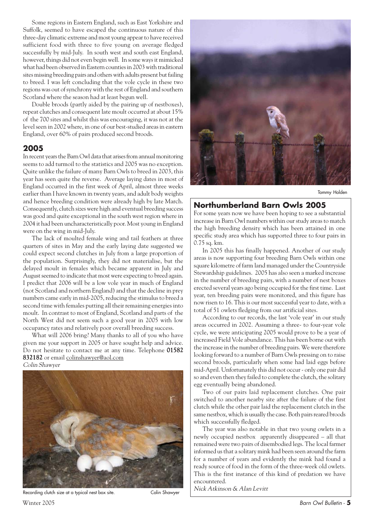Some regions in Eastern England, such as East Yorkshire and Suffolk, seemed to have escaped the continuous nature of this three-day climatic extreme and most young appear to have received sufficient food with three to five young on average fledged successfully by mid-July. In south west and south east England, however, things did not even begin well. In some ways it mimicked what had been observed in Eastern counties in 2003 with traditional sites missing breeding pairs and others with adults present but failing to breed. I was left concluding that the vole cycle in these two regions was out of synchrony with the rest of England and southern Scotland where the season had at least begun well.

Double broods (partly aided by the pairing up of nestboxes), repeat clutches and consequent late moult occurred at about 15% of the 700 sites and whilst this was encouraging, it was not at the level seen in 2002 where, in one of our best-studied areas in eastern England, over 60% of pairs produced second broods.

#### **2005**

In recent years the Barn Owl data that arises from annual monitoring seems to add turmoil to the statistics and 2005 was no exception. Quite unlike the failure of many Barn Owls to breed in 2003, this year has seen quite the reverse. Average laying dates in most of England occurred in the first week of April, almost three weeks earlier than I have known in twenty years, and adult body weights and hence breeding condition were already high by late March. Consequently, clutch sizes were high and eventual breeding success was good and quite exceptional in the south west region where in 2004 it had been uncharacteristically poor. Most young in England were on the wing in mid-July.

The lack of moulted female wing and tail feathers at three quarters of sites in May and the early laying date suggested we could expect second clutches in July from a large proportion of the population. Surprisingly, they did not materialise, but the delayed moult in females which became apparent in July and August seemed to indicate that most were expecting to breed again. I predict that 2006 will be a low vole year in much of England (not Scotland and northern England) and that the decline in prey numbers came early in mid-2005, reducing the stimulus to breed a second time with females putting all their remaining energies into moult. In contrast to most of England, Scotland and parts of the North West did not seem such a good year in 2005 with low occupancy rates and relatively poor overall breeding success.

What will 2006 bring? Many thanks to all of you who have given me your support in 2005 or have sought help and advice. Do not hesitate to contact me at any time. Telephone 01582 832182 or email colinshawyer@aol.com

Colin Shawyer







Tommy Holden

### **Northumberland Barn Owls 2005**

For some years now we have been hoping to see a substantial increase in Barn Owl numbers within our study areas to match the high breeding density which has been attained in one specific study area which has supported three to four pairs in 0.75 sq. km.

In 2005 this has finally happened. Another of our study areas is now supporting four breeding Barn Owls within one square kilometre of farm land managed under the Countryside Stewardship guidelines. 2005 has also seen a marked increase in the number of breeding pairs, with a number of nest boxes erected several years ago being occupied for the first time. Last year, ten breeding pairs were monitored, and this figure has now risen to 16. This is our most successful year to date, with a total of 51 owlets fledging from our artificial sites.

According to our records, the last 'vole year' in our study areas occurred in 2002. Assuming a three- to four-year vole cycle, we were anticipating 2005 would prove to be a year of increased Field Vole abundance. This has been borne out with the increase in the number of breeding pairs. We were therefore looking forward to a number of Barn Owls pressing on to raise second broods, particularly when some had laid eggs before mid-April. Unfortunately this did not occur - only one pair did so and even then they failed to complete the clutch, the solitary egg eventually being abandoned.

Two of our pairs laid replacement clutches. One pair switched to another nearby site after the failure of the first clutch while the other pair laid the replacement clutch in the same nestbox, which is usually the case. Both pairs reared broods which successfully fledged.

The year was also notable in that two young owlets in a newly occupied nestbox apparently disappeared – all that remained were two pairs of disembodied legs. The local farmer informed us that a solitary mink had been seen around the farm for a number of years and evidently the mink had found a ready source of food in the form of the three-week old owlets. This is the first instance of this kind of predation we have encountered.

Recording clutch size at a typical nest box site.<br>
Colin Shawyer Mick Atkinson & Alan Levitt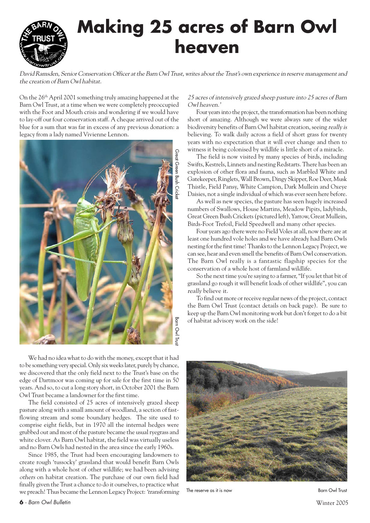

David Ramsden, Senior Conservation Officer at the Barn Owl Trust, writes about the Trust's own experience in reserve management and the creation of Barn Owl habitat.

On the 26<sup>th</sup> April 2001 something truly amazing happened at the Barn Owl Trust, at a time when we were completely preoccupied with the Foot and Mouth crisis and wondering if we would have to lay-off our four conservation staff. A cheque arrived out of the blue for a sum that was far in excess of any previous donation: a legacy from a lady named Vivienne Lennon.



We had no idea what to do with the money, except that it had to be something very special. Only six weeks later, purely by chance, we discovered that the only field next to the Trust's base on the edge of Dartmoor was coming up for sale for the first time in 50 years. And so, to cut a long story short, in October 2001 the Barn Owl Trust became a landowner for the first time.

The field consisted of 25 acres of intensively grazed sheep pasture along with a small amount of woodland, a section of fastflowing stream and some boundary hedges. The site used to comprise eight fields, but in 1970 all the internal hedges were grubbed out and most of the pasture became the usual ryegrass and white clover. As Barn Owl habitat, the field was virtually useless and no Barn Owls had nested in the area since the early 1960s.

Since 1985, the Trust had been encouraging landowners to create rough 'tussocky' grassland that would benefit Barn Owls along with a whole host of other wildlife; we had been advising others on habitat creation. The purchase of our own field had finally given the Trust a chance to do it ourselves, to practice what we preach! Thus became the Lennon Legacy Project: 'transforming

#### 25 acres of intensively grazed sheep pasture into 25 acres of Barn Owl heaven.'

Four years into the project, the transformation has been nothing short of amazing. Although we were always sure of the wider biodiversity benefits of Barn Owl habitat creation, seeing really is believing. To walk daily across a field of short grass for twenty years with no expectation that it will ever change and then to witness it being colonised by wildlife is little short of a miracle.

The field is now visited by many species of birds, including Swifts, Kestrels, Linnets and nesting Redstarts. There has been an explosion of other flora and fauna, such as Marbled White and Gatekeeper, Ringlets, Wall Brown, Dingy Skipper, Roe Deer, Musk Thistle, Field Pansy, White Campion, Dark Mullein and Oxeye Daisies, not a single individual of which was ever seen here before.

As well as new species, the pasture has seen hugely increased numbers of Swallows, House Martins, Meadow Pipits, ladybirds, Great Green Bush Crickets (pictured left), Yarrow, Great Mullein, Birds-Foot Trefoil, Field Speedwell and many other species.

Four years ago there were no Field Voles at all, now there are at least one hundred vole holes and we have already had Barn Owls nesting for the first time! Thanks to the Lennon Legacy Project, we can see, hear and even smell the benefits of Barn Owl conservation. The Barn Owl really is a fantastic flagship species for the conservation of a whole host of farmland wildlife.

So the next time you're saying to a farmer, "If you let that bit of grassland go rough it will benefit loads of other wildlife", you can really believe it.

To find out more or receive regular news of the project, contact the Barn Owl Trust (contact details on back page). Be sure to keep up the Barn Owl monitoring work but don't forget to do a bit of habitat advisory work on the side!



The reserve as it is now Barn Owl Trust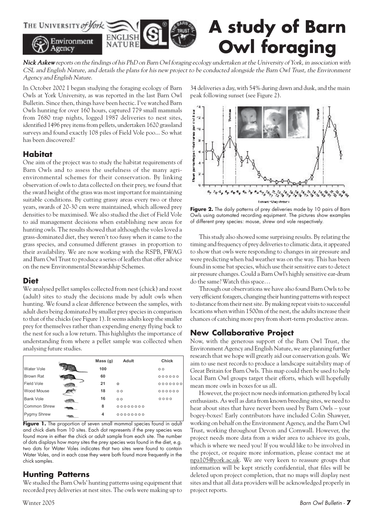

Nick Askew reports on the findings of his PhD on Barn Owl foraging ecology undertaken at the University of York, in association with CSL and English Nature, and details the plans for his new project to be conducted alongside the Barn Owl Trust, the Environment Agency and English Nature.

In October 2002 I began studying the foraging ecology of Barn Owls at York University, as was reported in the last Barn Owl Bulletin. Since then, things have been hectic. I've watched Barn Owls hunting for over 160 hours, captured 779 small mammals from 7680 trap nights, logged 1987 deliveries to nest sites, identified 1496 prey items from pellets, undertaken 1620 grassland surveys and found exactly 108 piles of Field Vole poo... So what has been discovered?

#### **Habitat**

One aim of the project was to study the habitat requirements of Barn Owls and to assess the usefulness of the many agrienvironmental schemes for their conservation. By linking observation of owls to data collected on their prey, we found that the sward height of the grass was most important for maintaining suitable conditions. By cutting grassy areas every two or three years, swards of 20-30 cm were maintained, which allowed prey densities to be maximised. We also studied the diet of Field Vole to aid management decisions when establishing new areas for hunting owls. The results showed that although the voles loved a grass-dominated diet, they weren't too fussy when it came to the grass species, and consumed different grasses in proportion to their availability. We are now working with the RSPB, FWAG and Barn Owl Trust to produce a series of leaflets that offer advice on the new Environmental Stewardship Schemes.

#### **Diet**

We analysed pellet samples collected from nest (chick) and roost (adult) sites to study the decisions made by adult owls when hunting. We found a clear difference between the samples, with adult diets being dominated by smaller prey species in comparison to that of the chicks (see Figure 1). It seems adults keep the smaller prey for themselves rather than expending energy flying back to the nest for such a low return. This highlights the importance of understanding from where a pellet sample was collected when analysing future studies.

|                  | Mass(g) | Adult          | Chick          |
|------------------|---------|----------------|----------------|
| Water Vole       | 100     |                | 0 <sub>0</sub> |
| <b>Brown Rat</b> | 60      |                | 000000         |
| Field Vole       | 21      | o              | 0000000        |
| Wood Mouse       | 18      | 0 <sub>0</sub> | 000000         |
| <b>Bank Vole</b> | 16      | 0 <sub>0</sub> | 0000           |
| Common Shrew     | 8       | 000000000      |                |
| Pygmy Shrew      | 4       | 000000000      |                |

Figure 1. The proportion of seven small mammal species found in adult and chick diets from 10 sites. Each dot represents if the prey species was found more in either the chick or adult sample from each site. The number of dots displays how many sites the prey species was found in the diet, e.g. two dots for Water Voles indicates that two sites were found to contain Water Voles, and in each case they were both found more frequently in the chick samples.

### **Hunting Patterns**

We studied the Barn Owls' hunting patterns using equipment that recorded prey deliveries at nest sites. The owls were making up to 34 deliveries a day, with 54% during dawn and dusk, and the main peak following sunset (see Figure 2).



Figure 2. The daily patterns of prey deliveries made by 10 pairs of Barn Owls using automated recording equipment. The pictures show examples of different prey species: mouse, shrew and vole respectively.

This study also showed some surprising results. By relating the timing and frequency of prey deliveries to climatic data, it appeared to show that owls were responding to changes in air pressure and were predicting when bad weather was on the way. This has been found in some bat species, which use their sensitive ears to detect air pressure changes. Could a Barn Owl's highly sensitive ear-drum do the same? Watch this space…

Through our observations we have also found Barn Owls to be very efficient foragers, changing their hunting patterns with respect to distance from their nest site. By making repeat visits to successful locations when within 1500m of the nest, the adults increase their chances of catching more prey from short-term productive areas.

### **New Collaborative Project**

Now, with the generous support of the Barn Owl Trust, the Environment Agency and English Nature, we are planning further research that we hope will greatly aid our conservation goals. We aim to use nest records to produce a landscape suitability map of Great Britain for Barn Owls. This map could then be used to help local Barn Owl groups target their efforts, which will hopefully mean more owls in boxes for us all.

However, the project now needs information gathered by local enthusiasts. As well as data from known breeding sites, we need to hear about sites that have never been used by Barn Owls – your bogey-boxes! Early contributors have included Colin Shawyer, working on behalf on the Environment Agency, and the Barn Owl Trust, working throughout Devon and Cornwall. However, the project needs more data from a wider area to achieve its goals, which is where we need you! If you would like to be involved in the project, or require more information, please contact me at npa105@york.ac.uk. We are very keen to reassure groups that information will be kept strictly confidential, that files will be deleted upon project completion, that no maps will display nest sites and that all data providers will be acknowledged properly in project reports.